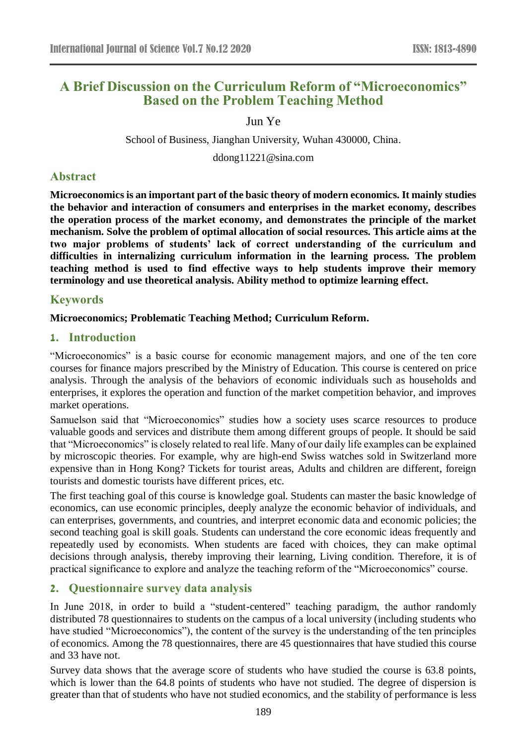# **A Brief Discussion on the Curriculum Reform of "Microeconomics" Based on the Problem Teaching Method**

Jun Ye

School of Business, Jianghan University, Wuhan 430000, China.

ddong11221@sina.com

## **Abstract**

**Microeconomics is an important part of the basic theory of modern economics. It mainly studies the behavior and interaction of consumers and enterprises in the market economy, describes the operation process of the market economy, and demonstrates the principle of the market mechanism. Solve the problem of optimal allocation of social resources. This article aims at the two major problems of students' lack of correct understanding of the curriculum and difficulties in internalizing curriculum information in the learning process. The problem teaching method is used to find effective ways to help students improve their memory terminology and use theoretical analysis. Ability method to optimize learning effect.**

### **Keywords**

### **Microeconomics; Problematic Teaching Method; Curriculum Reform.**

### **1. Introduction**

"Microeconomics" is a basic course for economic management majors, and one of the ten core courses for finance majors prescribed by the Ministry of Education. This course is centered on price analysis. Through the analysis of the behaviors of economic individuals such as households and enterprises, it explores the operation and function of the market competition behavior, and improves market operations.

Samuelson said that "Microeconomics" studies how a society uses scarce resources to produce valuable goods and services and distribute them among different groups of people. It should be said that "Microeconomics" is closely related to real life. Many of our daily life examples can be explained by microscopic theories. For example, why are high-end Swiss watches sold in Switzerland more expensive than in Hong Kong? Tickets for tourist areas, Adults and children are different, foreign tourists and domestic tourists have different prices, etc.

The first teaching goal of this course is knowledge goal. Students can master the basic knowledge of economics, can use economic principles, deeply analyze the economic behavior of individuals, and can enterprises, governments, and countries, and interpret economic data and economic policies; the second teaching goal is skill goals. Students can understand the core economic ideas frequently and repeatedly used by economists. When students are faced with choices, they can make optimal decisions through analysis, thereby improving their learning, Living condition. Therefore, it is of practical significance to explore and analyze the teaching reform of the "Microeconomics" course.

## **2. Questionnaire survey data analysis**

In June 2018, in order to build a "student-centered" teaching paradigm, the author randomly distributed 78 questionnaires to students on the campus of a local university (including students who have studied "Microeconomics"), the content of the survey is the understanding of the ten principles of economics. Among the 78 questionnaires, there are 45 questionnaires that have studied this course and 33 have not.

Survey data shows that the average score of students who have studied the course is 63.8 points, which is lower than the 64.8 points of students who have not studied. The degree of dispersion is greater than that of students who have not studied economics, and the stability of performance is less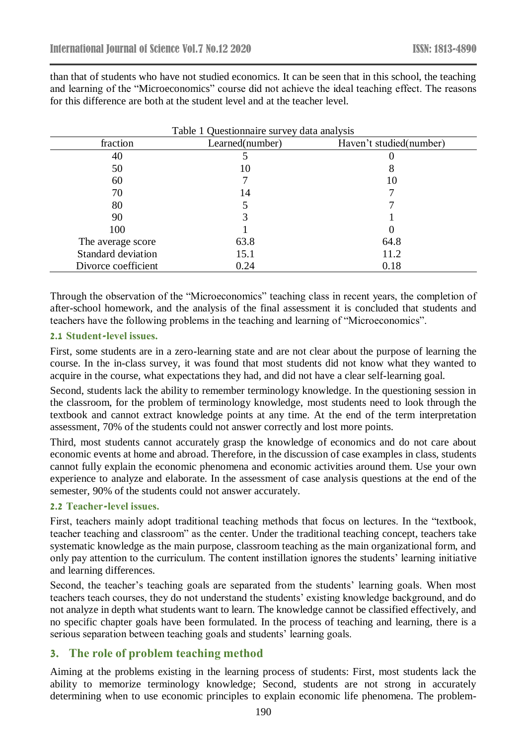than that of students who have not studied economics. It can be seen that in this school, the teaching and learning of the "Microeconomics" course did not achieve the ideal teaching effect. The reasons for this difference are both at the student level and at the teacher level.

| Table 1 Questionnaire survey data analysis |                 |                         |
|--------------------------------------------|-----------------|-------------------------|
| fraction                                   | Learned(number) | Haven't studied(number) |
| 40                                         |                 |                         |
| 50                                         | 10              | δ                       |
| 60                                         |                 | 10                      |
| 70                                         | 14              |                         |
| 80                                         |                 |                         |
| 90                                         |                 |                         |
| 100                                        |                 |                         |
| The average score                          | 63.8            | 64.8                    |
| <b>Standard deviation</b>                  | 15.1            | 11.2                    |
| Divorce coefficient                        | 0.24            | 0.18                    |

Through the observation of the "Microeconomics" teaching class in recent years, the completion of after-school homework, and the analysis of the final assessment it is concluded that students and teachers have the following problems in the teaching and learning of "Microeconomics".

#### **2.1 Student-level issues.**

First, some students are in a zero-learning state and are not clear about the purpose of learning the course. In the in-class survey, it was found that most students did not know what they wanted to acquire in the course, what expectations they had, and did not have a clear self-learning goal.

Second, students lack the ability to remember terminology knowledge. In the questioning session in the classroom, for the problem of terminology knowledge, most students need to look through the textbook and cannot extract knowledge points at any time. At the end of the term interpretation assessment, 70% of the students could not answer correctly and lost more points.

Third, most students cannot accurately grasp the knowledge of economics and do not care about economic events at home and abroad. Therefore, in the discussion of case examples in class, students cannot fully explain the economic phenomena and economic activities around them. Use your own experience to analyze and elaborate. In the assessment of case analysis questions at the end of the semester, 90% of the students could not answer accurately.

#### **2.2 Teacher-level issues.**

First, teachers mainly adopt traditional teaching methods that focus on lectures. In the "textbook, teacher teaching and classroom" as the center. Under the traditional teaching concept, teachers take systematic knowledge as the main purpose, classroom teaching as the main organizational form, and only pay attention to the curriculum. The content instillation ignores the students' learning initiative and learning differences.

Second, the teacher's teaching goals are separated from the students' learning goals. When most teachers teach courses, they do not understand the students' existing knowledge background, and do not analyze in depth what students want to learn. The knowledge cannot be classified effectively, and no specific chapter goals have been formulated. In the process of teaching and learning, there is a serious separation between teaching goals and students' learning goals.

#### **3. The role of problem teaching method**

Aiming at the problems existing in the learning process of students: First, most students lack the ability to memorize terminology knowledge; Second, students are not strong in accurately determining when to use economic principles to explain economic life phenomena. The problem-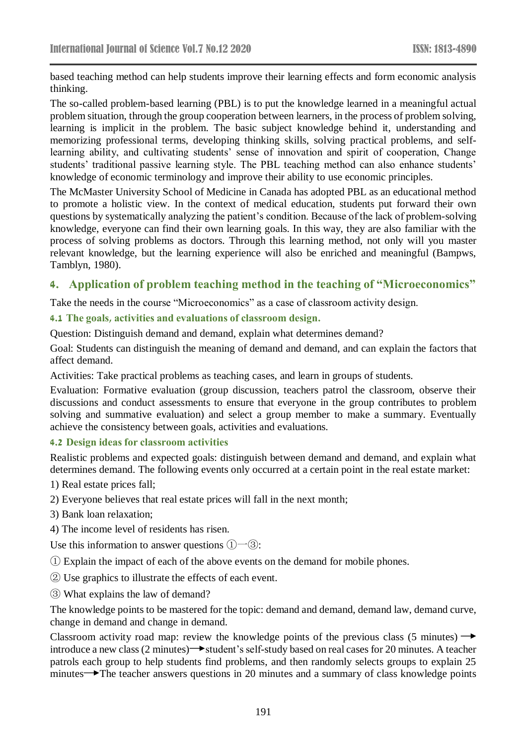based teaching method can help students improve their learning effects and form economic analysis thinking.

The so-called problem-based learning (PBL) is to put the knowledge learned in a meaningful actual problem situation, through the group cooperation between learners, in the process of problem solving, learning is implicit in the problem. The basic subject knowledge behind it, understanding and memorizing professional terms, developing thinking skills, solving practical problems, and selflearning ability, and cultivating students' sense of innovation and spirit of cooperation, Change students' traditional passive learning style. The PBL teaching method can also enhance students' knowledge of economic terminology and improve their ability to use economic principles.

The McMaster University School of Medicine in Canada has adopted PBL as an educational method to promote a holistic view. In the context of medical education, students put forward their own questions by systematically analyzing the patient's condition. Because of the lack of problem-solving knowledge, everyone can find their own learning goals. In this way, they are also familiar with the process of solving problems as doctors. Through this learning method, not only will you master relevant knowledge, but the learning experience will also be enriched and meaningful (Bampws, Tamblyn, 1980).

# **4. Application of problem teaching method in the teaching of "Microeconomics"**

Take the needs in the course "Microeconomics" as a case of classroom activity design.

### **4.1 The goals, activities and evaluations of classroom design.**

Question: Distinguish demand and demand, explain what determines demand?

Goal: Students can distinguish the meaning of demand and demand, and can explain the factors that affect demand.

Activities: Take practical problems as teaching cases, and learn in groups of students.

Evaluation: Formative evaluation (group discussion, teachers patrol the classroom, observe their discussions and conduct assessments to ensure that everyone in the group contributes to problem solving and summative evaluation) and select a group member to make a summary. Eventually achieve the consistency between goals, activities and evaluations.

#### **4.2 Design ideas for classroom activities**

Realistic problems and expected goals: distinguish between demand and demand, and explain what determines demand. The following events only occurred at a certain point in the real estate market:

1) Real estate prices fall;

- 2) Everyone believes that real estate prices will fall in the next month;
- 3) Bank loan relaxation;
- 4) The income level of residents has risen.

Use this information to answer questions  $(1)$ — $(3)$ :

① Explain the impact of each of the above events on the demand for mobile phones.

- ② Use graphics to illustrate the effects of each event.
- ③ What explains the law of demand?

The knowledge points to be mastered for the topic: demand and demand, demand law, demand curve, change in demand and change in demand.

Classroom activity road map: review the knowledge points of the previous class (5 minutes)  $\rightarrow$ introduce a new class  $(2 \text{ minutes})$  tudent's self-study based on real cases for 20 minutes. A teacher patrols each group to help students find problems, and then randomly selects groups to explain 25 minutes The teacher answers questions in 20 minutes and a summary of class knowledge points